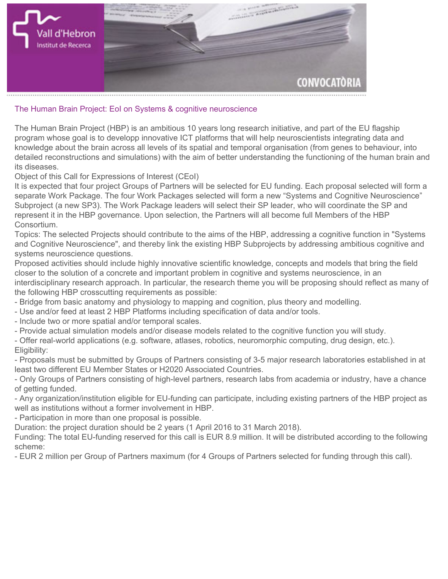

## **The Human Brain Project: EoI on Systems & cognitive neuroscience**

**The Human Brain Project (HBP) is an ambitious 10 years long research initiative, and part of the EU flagship program whose goal is to developp innovative ICT platforms that will help neuroscientists integrating data and knowledge about the brain across all levels of its spatial and temporal organisation (from genes to behaviour, into detailed reconstructions and simulations) with the aim of better understanding the functioning of the human brain and its diseases.**

**Object of this Call for Expressions of Interest (CEoI)**

**It is expected that four project Groups of Partners will be selected for EU funding. Each proposal selected will form a separate Work Package. The four Work Packages selected will form a new "Systems and Cognitive Neuroscience" Subproject (a new SP3). The Work Package leaders will select their SP leader, who will coordinate the SP and represent it in the HBP governance. Upon selection, the Partners will all become full Members of the HBP Consortium.**

**Topics: The selected Projects should contribute to the aims of the HBP, addressing a cognitive function in "Systems and Cognitive Neuroscience", and thereby link the existing HBP Subprojects by addressing ambitious cognitive and systems neuroscience questions.**

**Proposed activities should include highly innovative scientific knowledge, concepts and models that bring the field closer to the solution of a concrete and important problem in cognitive and systems neuroscience, in an interdisciplinary research approach. In particular, the research theme you will be proposing should reflect as many of the following HBP crosscutting requirements as possible:**

- **Bridge from basic anatomy and physiology to mapping and cognition, plus theory and modelling.**
- **Use and/or feed at least 2 HBP Platforms including specification of data and/or tools.**
- **Include two or more spatial and/or temporal scales.**
- **Provide actual simulation models and/or disease models related to the cognitive function you will study.**

**- Offer real-world applications (e.g. software, atlases, robotics, neuromorphic computing, drug design, etc.). Eligibility:**

**- Proposals must be submitted by Groups of Partners consisting of 3-5 major research laboratories established in at least two different [EU Member States or H2020 Associated Countries.](http://ec.europa.eu/research/participants/data/ref/h2020/wp/2014_2015/annexes/h2020-wp1415-annex-a-countries-rules_en.pdf)**

**- Only Groups of Partners consisting of high-level partners, research labs from academia or industry, have a chance of getting funded.**

**- Any organization/institution eligible for EU-funding can participate, including existing partners of the HBP project as well as institutions without a former involvement in HBP.**

**- Participation in more than one proposal is possible.**

**Duration: the project duration should be 2 years (1 April 2016 to 31 March 2018).**

**Funding: The total EU-funding reserved for this call is EUR 8.9 million. It will be distributed according to the following scheme:**

**- EUR 2 million per Group of Partners maximum (for 4 Groups of Partners selected for funding through this call).**